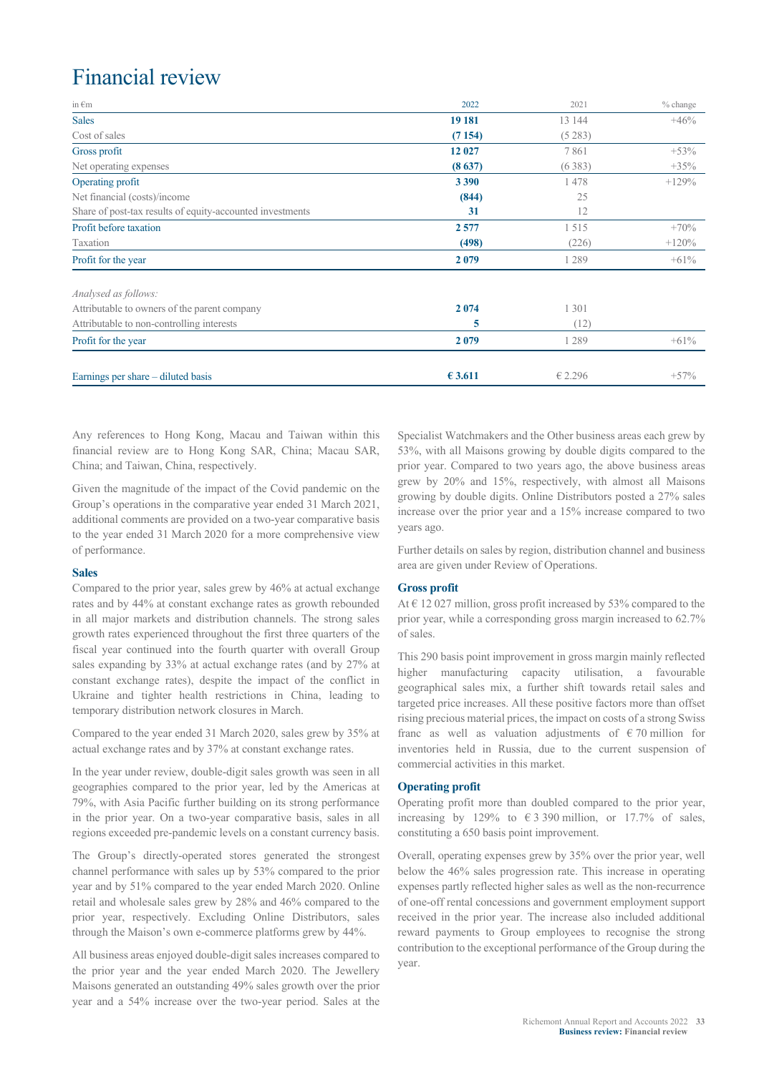# Financial review

| in $\epsilon$ m                                           | 2022    | 2021    | $%$ change |
|-----------------------------------------------------------|---------|---------|------------|
| <b>Sales</b>                                              | 19 18 1 | 13 144  | $+46%$     |
| Cost of sales                                             | (7154)  | (5283)  |            |
| Gross profit                                              | 12 027  | 7861    | $+53%$     |
| Net operating expenses                                    | (8637)  | (6383)  | $+35%$     |
| Operating profit                                          | 3 3 9 0 | 1478    | $+129%$    |
| Net financial (costs)/income                              | (844)   | 25      |            |
| Share of post-tax results of equity-accounted investments | 31      | 12      |            |
| Profit before taxation                                    | 2577    | 1515    | $+70%$     |
| Taxation                                                  | (498)   | (226)   | $+120%$    |
| Profit for the year                                       | 2079    | 1 2 8 9 | $+61\%$    |
| Analysed as follows:                                      |         |         |            |
| Attributable to owners of the parent company              | 2074    | 1 301   |            |
| Attributable to non-controlling interests                 | 5       | (12)    |            |
| Profit for the year                                       | 2079    | 1 289   | $+61%$     |
| Earnings per share - diluted basis                        | € 3.611 | € 2.296 | $+57%$     |

Any references to Hong Kong, Macau and Taiwan within this financial review are to Hong Kong SAR, China; Macau SAR, China; and Taiwan, China, respectively.

Given the magnitude of the impact of the Covid pandemic on the Group's operations in the comparative year ended 31 March 2021, additional comments are provided on a two-year comparative basis to the year ended 31 March 2020 for a more comprehensive view of performance.

#### **Sales**

Compared to the prior year, sales grew by 46% at actual exchange rates and by 44% at constant exchange rates as growth rebounded in all major markets and distribution channels. The strong sales growth rates experienced throughout the first three quarters of the fiscal year continued into the fourth quarter with overall Group sales expanding by 33% at actual exchange rates (and by 27% at constant exchange rates), despite the impact of the conflict in Ukraine and tighter health restrictions in China, leading to temporary distribution network closures in March.

Compared to the year ended 31 March 2020, sales grew by 35% at actual exchange rates and by 37% at constant exchange rates.

In the year under review, double-digit sales growth was seen in all geographies compared to the prior year, led by the Americas at 79%, with Asia Pacific further building on its strong performance in the prior year. On a two-year comparative basis, sales in all regions exceeded pre-pandemic levels on a constant currency basis.

The Group's directly-operated stores generated the strongest channel performance with sales up by 53% compared to the prior year and by 51% compared to the year ended March 2020. Online retail and wholesale sales grew by 28% and 46% compared to the prior year, respectively. Excluding Online Distributors, sales through the Maison's own e-commerce platforms grew by 44%.

All business areas enjoyed double-digit sales increases compared to the prior year and the year ended March 2020. The Jewellery Maisons generated an outstanding 49% sales growth over the prior year and a 54% increase over the two-year period. Sales at the Specialist Watchmakers and the Other business areas each grew by 53%, with all Maisons growing by double digits compared to the prior year. Compared to two years ago, the above business areas grew by 20% and 15%, respectively, with almost all Maisons growing by double digits. Online Distributors posted a 27% sales increase over the prior year and a 15% increase compared to two years ago.

Further details on sales by region, distribution channel and business area are given under Review of Operations.

#### **Gross profit**

At  $\in$  12 027 million, gross profit increased by 53% compared to the prior year, while a corresponding gross margin increased to 62.7% of sales.

This 290 basis point improvement in gross margin mainly reflected higher manufacturing capacity utilisation, a favourable geographical sales mix, a further shift towards retail sales and targeted price increases. All these positive factors more than offset rising precious material prices, the impact on costs of a strong Swiss franc as well as valuation adjustments of  $\epsilon$  70 million for inventories held in Russia, due to the current suspension of commercial activities in this market.

#### **Operating profit**

Operating profit more than doubled compared to the prior year, increasing by 129% to  $\epsilon$  3 390 million, or 17.7% of sales, constituting a 650 basis point improvement.

Overall, operating expenses grew by 35% over the prior year, well below the 46% sales progression rate. This increase in operating expenses partly reflected higher sales as well as the non-recurrence of one-off rental concessions and government employment support received in the prior year. The increase also included additional reward payments to Group employees to recognise the strong contribution to the exceptional performance of the Group during the year.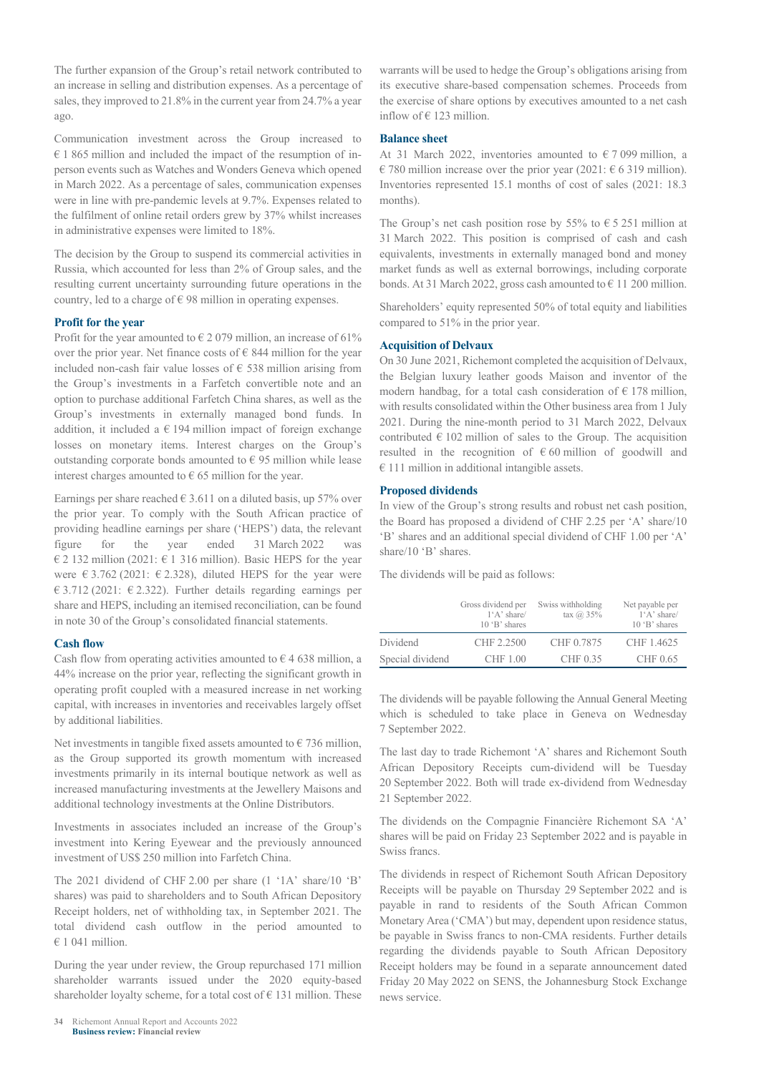The further expansion of the Group's retail network contributed to an increase in selling and distribution expenses. As a percentage of sales, they improved to 21.8% in the current year from 24.7% a year ago.

Communication investment across the Group increased to  $€ 1865$  million and included the impact of the resumption of inperson events such as Watches and Wonders Geneva which opened in March 2022. As a percentage of sales, communication expenses were in line with pre-pandemic levels at 9.7%. Expenses related to the fulfilment of online retail orders grew by 37% whilst increases in administrative expenses were limited to 18%.

The decision by the Group to suspend its commercial activities in Russia, which accounted for less than 2% of Group sales, and the resulting current uncertainty surrounding future operations in the country, led to a charge of  $\epsilon$  98 million in operating expenses.

#### **Profit for the year**

Profit for the year amounted to  $\epsilon$  2 079 million, an increase of 61% over the prior year. Net finance costs of  $\epsilon$  844 million for the year included non-cash fair value losses of  $\epsilon$  538 million arising from the Group's investments in a Farfetch convertible note and an option to purchase additional Farfetch China shares, as well as the Group's investments in externally managed bond funds. In addition, it included a  $\in$  194 million impact of foreign exchange losses on monetary items. Interest charges on the Group's outstanding corporate bonds amounted to  $\epsilon$  95 million while lease interest charges amounted to  $\epsilon$  65 million for the year.

Earnings per share reached  $\in$  3.611 on a diluted basis, up 57% over the prior year. To comply with the South African practice of providing headline earnings per share ('HEPS') data, the relevant figure for the year ended 31 March 2022 was € 2 132 million (2021: € 1 316 million). Basic HEPS for the year were  $\epsilon$  3.762 (2021:  $\epsilon$  2.328), diluted HEPS for the year were € 3.712 (2021: € 2.322). Further details regarding earnings per share and HEPS, including an itemised reconciliation, can be found in note 30 of the Group's consolidated financial statements.

#### **Cash flow**

Cash flow from operating activities amounted to  $\epsilon$  4 638 million, a 44% increase on the prior year, reflecting the significant growth in operating profit coupled with a measured increase in net working capital, with increases in inventories and receivables largely offset by additional liabilities.

Net investments in tangible fixed assets amounted to  $\epsilon$  736 million, as the Group supported its growth momentum with increased investments primarily in its internal boutique network as well as increased manufacturing investments at the Jewellery Maisons and additional technology investments at the Online Distributors.

Investments in associates included an increase of the Group's investment into Kering Eyewear and the previously announced investment of US\$ 250 million into Farfetch China.

The 2021 dividend of CHF 2.00 per share (1 '1A' share/10 'B' shares) was paid to shareholders and to South African Depository Receipt holders, net of withholding tax, in September 2021. The total dividend cash outflow in the period amounted to  $€ 1 041$  million.

During the year under review, the Group repurchased 171 million shareholder warrants issued under the 2020 equity-based shareholder loyalty scheme, for a total cost of  $\epsilon$  131 million. These warrants will be used to hedge the Group's obligations arising from its executive share-based compensation schemes. Proceeds from the exercise of share options by executives amounted to a net cash inflow of  $\in$  123 million.

### **Balance sheet**

At 31 March 2022, inventories amounted to  $\epsilon$  7 099 million, a € 780 million increase over the prior year (2021:  $€ 6 319$  million). Inventories represented 15.1 months of cost of sales (2021: 18.3 months).

The Group's net cash position rose by 55% to  $\epsilon$  5 251 million at 31 March 2022. This position is comprised of cash and cash equivalents, investments in externally managed bond and money market funds as well as external borrowings, including corporate bonds. At 31 March 2022, gross cash amounted to  $\epsilon$  11 200 million.

Shareholders' equity represented 50% of total equity and liabilities compared to 51% in the prior year.

# **Acquisition of Delvaux**

On 30 June 2021, Richemont completed the acquisition of Delvaux, the Belgian luxury leather goods Maison and inventor of the modern handbag, for a total cash consideration of  $\epsilon$  178 million, with results consolidated within the Other business area from 1 July 2021. During the nine-month period to 31 March 2022, Delvaux contributed  $\epsilon$  102 million of sales to the Group. The acquisition resulted in the recognition of  $\epsilon$  60 million of goodwill and  $€ 111$  million in additional intangible assets.

### **Proposed dividends**

In view of the Group's strong results and robust net cash position, the Board has proposed a dividend of CHF 2.25 per 'A' share/10 'B' shares and an additional special dividend of CHF 1.00 per 'A' share/10 'B' shares.

The dividends will be paid as follows:

|                  | Gross dividend per<br>$1'A$ ' share/<br>$10 \text{ }^{\circ}B$ ' shares | Swiss withholding<br>tax $(a)$ 35% | Net payable per<br>$1'A$ ' share/<br>$10 \text{ }$ B' shares |
|------------------|-------------------------------------------------------------------------|------------------------------------|--------------------------------------------------------------|
| Dividend         | CHF 2.2500                                                              | CHF 0.7875                         | CHF 1.4625                                                   |
| Special dividend | CHF 1.00                                                                | CHF 0.35                           | CHF 0.65                                                     |

The dividends will be payable following the Annual General Meeting which is scheduled to take place in Geneva on Wednesday 7 September 2022.

The last day to trade Richemont 'A' shares and Richemont South African Depository Receipts cum-dividend will be Tuesday 20 September 2022. Both will trade ex-dividend from Wednesday 21 September 2022.

The dividends on the Compagnie Financière Richemont SA 'A' shares will be paid on Friday 23 September 2022 and is payable in Swiss francs.

The dividends in respect of Richemont South African Depository Receipts will be payable on Thursday 29 September 2022 and is payable in rand to residents of the South African Common Monetary Area ('CMA') but may, dependent upon residence status, be payable in Swiss francs to non-CMA residents. Further details regarding the dividends payable to South African Depository Receipt holders may be found in a separate announcement dated Friday 20 May 2022 on SENS, the Johannesburg Stock Exchange news service.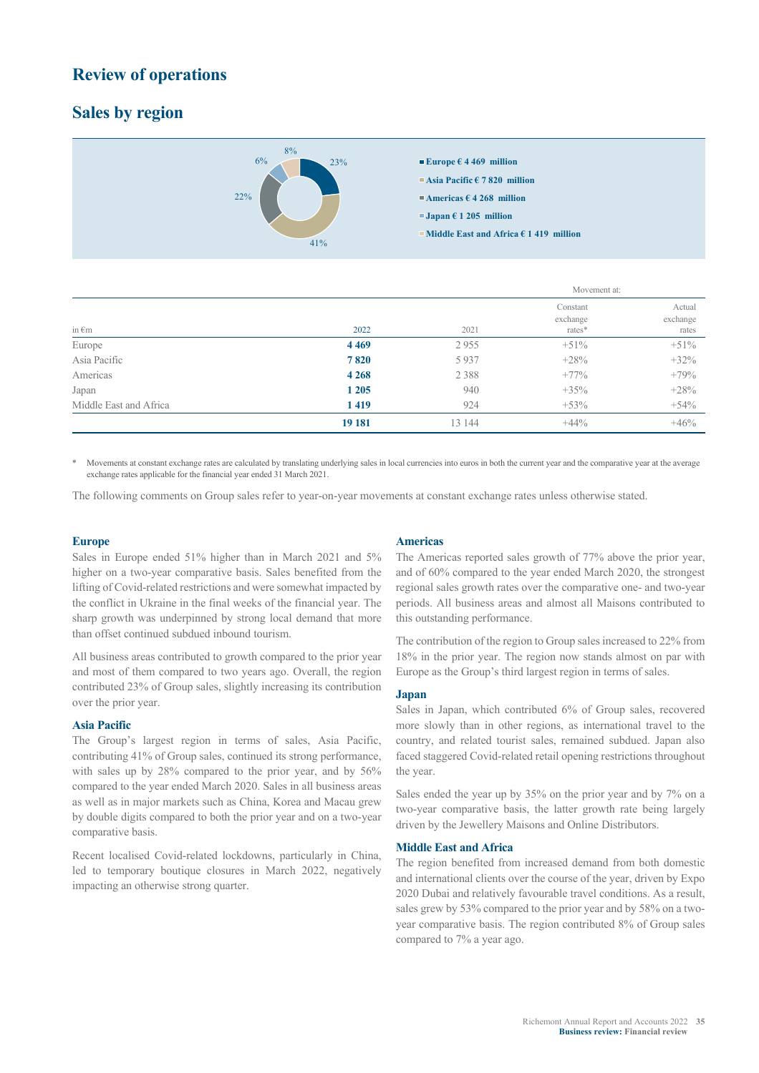# **Review of operations**

# **Sales by region**



|                        |         | Movement at: |                                |                             |
|------------------------|---------|--------------|--------------------------------|-----------------------------|
| in $\epsilon$ m        | 2022    | 2021         | Constant<br>exchange<br>rates* | Actual<br>exchange<br>rates |
| Europe                 | 4469    | 2955         | $+51\%$                        | $+51%$                      |
| Asia Pacific           | 7820    | 5937         | $+28%$                         | $+32%$                      |
| Americas               | 4 2 6 8 | 2 3 8 8      | $+77%$                         | $+79%$                      |
| Japan                  | 1 2 0 5 | 940          | $+35%$                         | $+28%$                      |
| Middle East and Africa | 1419    | 924          | $+53%$                         | $+54%$                      |
|                        | 19 18 1 | 13 144       | $+44\%$                        | $+46%$                      |

Movements at constant exchange rates are calculated by translating underlying sales in local currencies into euros in both the current year and the comparative year at the average exchange rates applicable for the financial year ended 31 March 2021.

The following comments on Group sales refer to year-on-year movements at constant exchange rates unless otherwise stated.

#### **Europe**

Sales in Europe ended 51% higher than in March 2021 and 5% higher on a two-year comparative basis. Sales benefited from the lifting of Covid-related restrictions and were somewhat impacted by the conflict in Ukraine in the final weeks of the financial year. The sharp growth was underpinned by strong local demand that more than offset continued subdued inbound tourism.

All business areas contributed to growth compared to the prior year and most of them compared to two years ago. Overall, the region contributed 23% of Group sales, slightly increasing its contribution over the prior year.

#### **Asia Pacific**

The Group's largest region in terms of sales, Asia Pacific, contributing 41% of Group sales, continued its strong performance, with sales up by 28% compared to the prior year, and by 56% compared to the year ended March 2020. Sales in all business areas as well as in major markets such as China, Korea and Macau grew by double digits compared to both the prior year and on a two-year comparative basis.

Recent localised Covid-related lockdowns, particularly in China, led to temporary boutique closures in March 2022, negatively impacting an otherwise strong quarter.

#### **Americas**

The Americas reported sales growth of 77% above the prior year, and of 60% compared to the year ended March 2020, the strongest regional sales growth rates over the comparative one- and two-year periods. All business areas and almost all Maisons contributed to this outstanding performance.

The contribution of the region to Group sales increased to 22% from 18% in the prior year. The region now stands almost on par with Europe as the Group's third largest region in terms of sales.

#### **Japan**

Sales in Japan, which contributed 6% of Group sales, recovered more slowly than in other regions, as international travel to the country, and related tourist sales, remained subdued. Japan also faced staggered Covid-related retail opening restrictions throughout the year.

Sales ended the year up by 35% on the prior year and by 7% on a two-year comparative basis, the latter growth rate being largely driven by the Jewellery Maisons and Online Distributors.

#### **Middle East and Africa**

The region benefited from increased demand from both domestic and international clients over the course of the year, driven by Expo 2020 Dubai and relatively favourable travel conditions. As a result, sales grew by 53% compared to the prior year and by 58% on a twoyear comparative basis. The region contributed 8% of Group sales compared to 7% a year ago.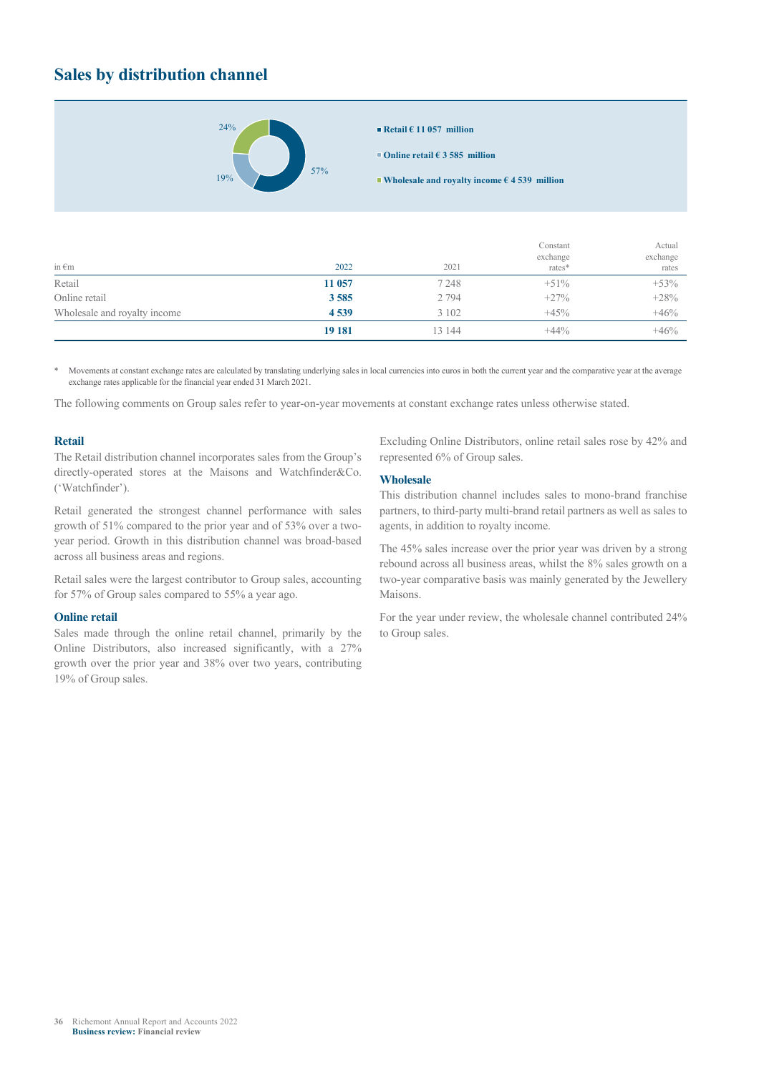# **Sales by distribution channel**



**Online retail € 3 585 million**

**Wholesale and royalty income € 4 539 million**

|                              |         |         | Constant           | Actual            |  |
|------------------------------|---------|---------|--------------------|-------------------|--|
| in $\epsilon$ m              | 2022    | 2021    | exchange<br>rates* | exchange<br>rates |  |
| Retail                       | 11 057  | 7 2 4 8 | $+51\%$            | $+53%$            |  |
| Online retail                | 3585    | 2 7 9 4 | $+27%$             | $+28%$            |  |
| Wholesale and royalty income | 4539    | 3 1 0 2 | $+45%$             | $+46%$            |  |
|                              | 19 18 1 | 13 144  | $+44\%$            | $+46%$            |  |

Movements at constant exchange rates are calculated by translating underlying sales in local currencies into euros in both the current year and the comparative year at the average exchange rates applicable for the financial year ended 31 March 2021.

The following comments on Group sales refer to year-on-year movements at constant exchange rates unless otherwise stated.

# **Retail**

The Retail distribution channel incorporates sales from the Group's directly-operated stores at the Maisons and Watchfinder&Co. ('Watchfinder').

Retail generated the strongest channel performance with sales growth of 51% compared to the prior year and of 53% over a twoyear period. Growth in this distribution channel was broad-based across all business areas and regions.

Retail sales were the largest contributor to Group sales, accounting for 57% of Group sales compared to 55% a year ago.

#### **Online retail**

Sales made through the online retail channel, primarily by the Online Distributors, also increased significantly, with a 27% growth over the prior year and 38% over two years, contributing 19% of Group sales.

Excluding Online Distributors, online retail sales rose by 42% and represented 6% of Group sales.

# **Wholesale**

This distribution channel includes sales to mono-brand franchise partners, to third-party multi-brand retail partners as well as sales to agents, in addition to royalty income.

The 45% sales increase over the prior year was driven by a strong rebound across all business areas, whilst the 8% sales growth on a two-year comparative basis was mainly generated by the Jewellery Maisons.

For the year under review, the wholesale channel contributed 24% to Group sales.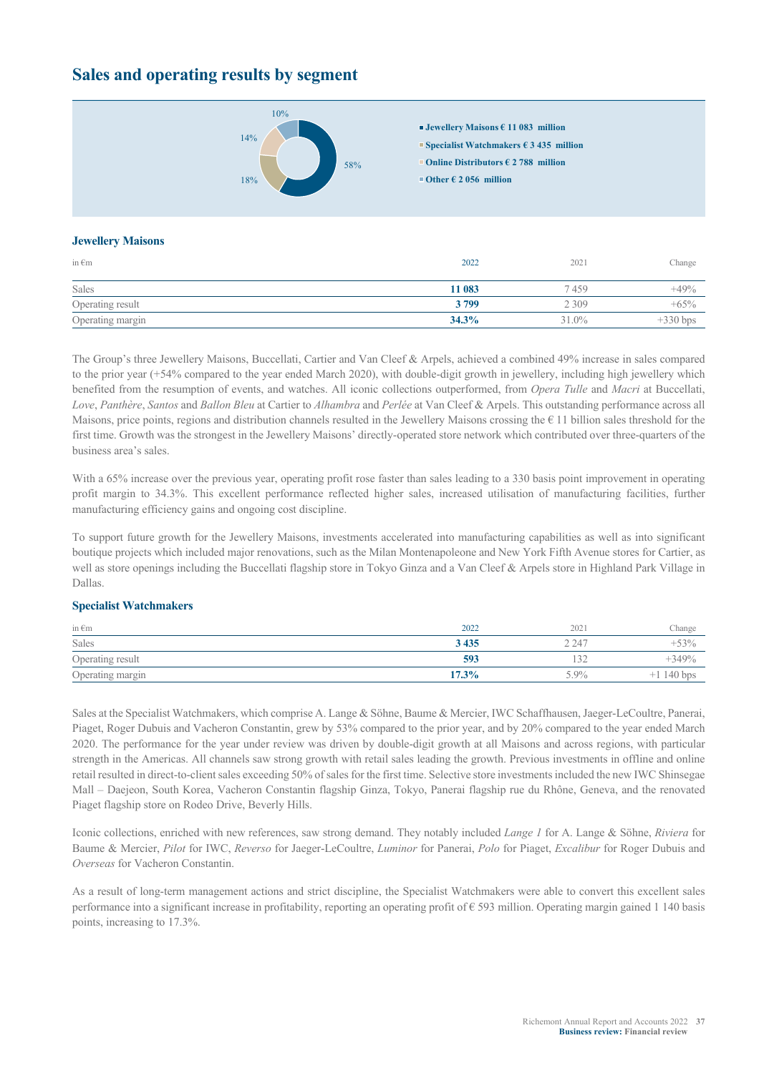# **Sales and operating results by segment**



#### **Jewellery Maisons**

| in $\epsilon$ m  | 2022   | 2021    | Change     |
|------------------|--------|---------|------------|
| Sales            | 11 083 | 7459    | $+49%$     |
| Operating result | 3799   | 2 3 0 9 | $+65%$     |
| Operating margin | 34.3%  | 31.0%   | $+330$ bps |

The Group's three Jewellery Maisons, Buccellati, Cartier and Van Cleef & Arpels, achieved a combined 49% increase in sales compared to the prior year (+54% compared to the year ended March 2020), with double-digit growth in jewellery, including high jewellery which benefited from the resumption of events, and watches. All iconic collections outperformed, from *Opera Tulle* and *Macri* at Buccellati, *Love*, *Panthère*, *Santos* and *Ballon Bleu* at Cartier to *Alhambra* and *Perlée* at Van Cleef & Arpels. This outstanding performance across all Maisons, price points, regions and distribution channels resulted in the Jewellery Maisons crossing the  $\epsilon$  11 billion sales threshold for the first time. Growth was the strongest in the Jewellery Maisons' directly-operated store network which contributed over three-quarters of the business area's sales.

With a 65% increase over the previous year, operating profit rose faster than sales leading to a 330 basis point improvement in operating profit margin to 34.3%. This excellent performance reflected higher sales, increased utilisation of manufacturing facilities, further manufacturing efficiency gains and ongoing cost discipline.

To support future growth for the Jewellery Maisons, investments accelerated into manufacturing capabilities as well as into significant boutique projects which included major renovations, such as the Milan Montenapoleone and New York Fifth Avenue stores for Cartier, as well as store openings including the Buccellati flagship store in Tokyo Ginza and a Van Cleef & Arpels store in Highland Park Village in Dallas.

#### **Specialist Watchmakers**

| in $\epsilon$ m  | 2022    | 2021          | Change           |
|------------------|---------|---------------|------------------|
| Sales            | 3 4 3 5 | $\angle 247$  | $-53%$<br>-- 1   |
| Operating result | 593     | $\sim$<br>132 | $+349%$          |
| Operating margin | 17.3%   | 5.9%          | 140 bps<br>$\pm$ |

Sales at the Specialist Watchmakers, which comprise A. Lange & Söhne, Baume & Mercier, IWC Schaffhausen, Jaeger-LeCoultre, Panerai, Piaget, Roger Dubuis and Vacheron Constantin, grew by 53% compared to the prior year, and by 20% compared to the year ended March 2020. The performance for the year under review was driven by double-digit growth at all Maisons and across regions, with particular strength in the Americas. All channels saw strong growth with retail sales leading the growth. Previous investments in offline and online retail resulted in direct-to-client sales exceeding 50% of sales for the first time. Selective store investments included the new IWC Shinsegae Mall – Daejeon, South Korea, Vacheron Constantin flagship Ginza, Tokyo, Panerai flagship rue du Rhône, Geneva, and the renovated Piaget flagship store on Rodeo Drive, Beverly Hills.

Iconic collections, enriched with new references, saw strong demand. They notably included *Lange 1* for A. Lange & Söhne, *Riviera* for Baume & Mercier, *Pilot* for IWC, *Reverso* for Jaeger-LeCoultre, *Luminor* for Panerai, *Polo* for Piaget, *Excalibur* for Roger Dubuis and *Overseas* for Vacheron Constantin.

As a result of long-term management actions and strict discipline, the Specialist Watchmakers were able to convert this excellent sales performance into a significant increase in profitability, reporting an operating profit of  $\epsilon$  593 million. Operating margin gained 1 140 basis points, increasing to 17.3%.